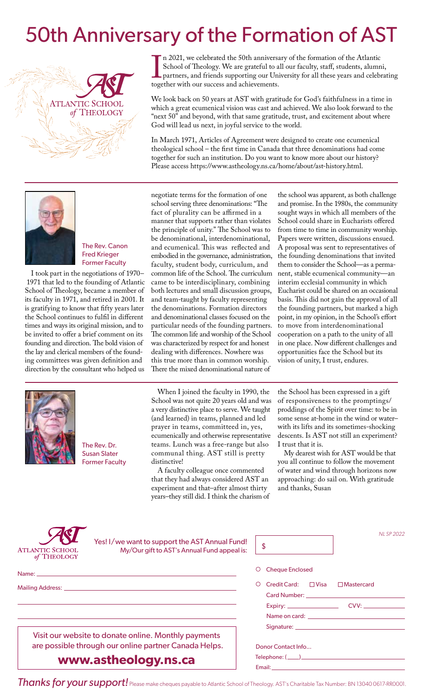## 50th Anniversary of the Formation of AST



If 2021, we celebrated the 30th anniversa<br>School of Theology. We are grateful to al<br>partners, and friends supporting our Uni<br>together with our success and achievements. n 2021, we celebrated the 50th anniversary of the formation of the Atlantic School of Theology. We are grateful to all our faculty, staff, students, alumni, partners, and friends supporting our University for all these years and celebrating

We look back on 50 years at AST with gratitude for God's faithfulness in a time in which a great ecumenical vision was cast and achieved. We also look forward to the "next 50" and beyond, with that same gratitude, trust, and excitement about where God will lead us next, in joyful service to the world.

In March 1971, Articles of Agreement were designed to create one ecumenical theological school – the first time in Canada that three denominations had come together for such an institution. Do you want to know more about our history? Please access https://www.astheology.ns.ca/home/about/ast-history.html.



The Rev. Canon Fred Krieger Former Faculty

I took part in the negotiations of 1970– 1971 that led to the founding of Atlantic School of Theology, became a member of its faculty in 1971, and retired in 2001. It is gratifying to know that fifty years later the School continues to fulfil in different times and ways its original mission, and to be invited to offer a brief comment on its founding and direction. The bold vision of the lay and clerical members of the founding committees was given definition and direction by the consultant who helped us



The Rev. Dr. Susan Slater Former Faculty negotiate terms for the formation of one school serving three denominations: "The fact of plurality can be affirmed in a manner that supports rather than violates the principle of unity." The School was to be denominational, interdenominational, and ecumenical. This was reflected and embodied in the governance, administration, faculty, student body, curriculum, and common life of the School. The curriculum came to be interdisciplinary, combining both lectures and small discussion groups, and team-taught by faculty representing the denominations. Formation directors and denominational classes focused on the particular needs of the founding partners. The common life and worship of the School was characterized by respect for and honest dealing with differences. Nowhere was this true more than in common worship. There the mixed denominational nature of

When I joined the faculty in 1990, the School was not quite 20 years old and was a very distinctive place to serve. We taught (and learned) in teams, planned and led prayer in teams, committeed in, yes, ecumenically and otherwise representative teams. Lunch was a free-range but also communal thing. AST still is pretty distinctive!

A faculty colleague once commented that they had always considered AST an experiment and that–after almost thirty years–they still did. I think the charism of

the school was apparent, as both challenge and promise. In the 1980s, the community sought ways in which all members of the School could share in Eucharists offered from time to time in community worship. Papers were written, discussions ensued. A proposal was sent to representatives of the founding denominations that invited them to consider the School—as a permanent, stable ecumenical community—an interim ecclesial community in which Eucharist could be shared on an occasional basis. This did not gain the approval of all the founding partners, but marked a high point, in my opinion, in the School's effort to move from interdenominational cooperation on a path to the unity of all in one place. Now different challenges and opportunities face the School but its vision of unity, I trust, endures.

the School has been expressed in a gift of responsiveness to the promptings/ proddings of the Spirit over time: to be in some sense at-home in the wind or water– with its lifts and its sometimes-shocking descents. Is AST not still an experiment? I trust that it is.

My dearest wish for AST would be that you all continue to follow the movement of water and wind through horizons now approaching: do sail on. With gratitude and thanks, Susan

| Yes! I/we want to support the AST Annual Fund!<br>My/Our gift to AST's Annual Fund appeal is:<br><b>ATLANTIC SCHOOL</b><br>of THEOLOGY | NL SP 2022<br>\$                                                                                                                                                                                                                                     |  |
|----------------------------------------------------------------------------------------------------------------------------------------|------------------------------------------------------------------------------------------------------------------------------------------------------------------------------------------------------------------------------------------------------|--|
|                                                                                                                                        | <b>Cheque Enclosed</b>                                                                                                                                                                                                                               |  |
| Mailing Address: National Accounts and Accounts and Accounts and Accounts and Accounts and Accounts and Accounts                       | Credit Card: $\Box$ Visa<br>$\Box$ Mastercard                                                                                                                                                                                                        |  |
|                                                                                                                                        |                                                                                                                                                                                                                                                      |  |
| Visit our website to donate online. Monthly payments<br>are possible through our online partner Canada Helps.                          | Signature: New York Signature:                                                                                                                                                                                                                       |  |
| www.astheology.ns.ca                                                                                                                   | Donor Contact Info<br>Email: And a state of the state of the state of the state of the state of the state of the state of the state of the state of the state of the state of the state of the state of the state of the state of the state of the s |  |